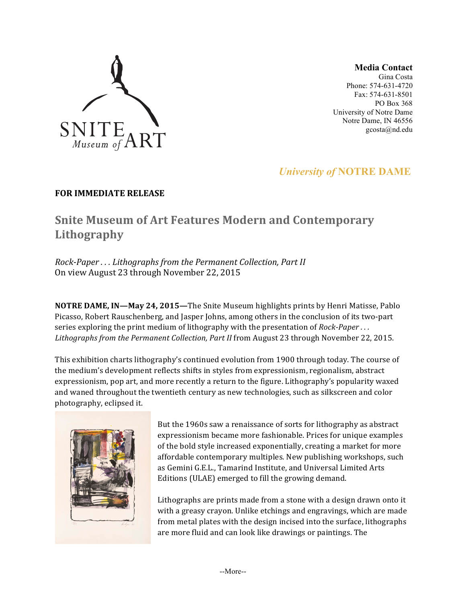

**Media Contact**

Gina Costa Phone: 574-631-4720 Fax: 574-631-8501 PO Box 368 University of Notre Dame Notre Dame, IN 46556 gcosta@nd.edu

## *University of* **NOTRE DAME**

### **FOR IMMEDIATE RELEASE**

# **Snite Museum of Art Features Modern and Contemporary Lithography**

*Rock-Paper ... Lithographs from the Permanent Collection, Part II* On view August 23 through November 22, 2015

**NOTRE DAME, IN-May 24, 2015-**The Snite Museum highlights prints by Henri Matisse, Pablo Picasso, Robert Rauschenberg, and Jasper Johns, among others in the conclusion of its two-part series exploring the print medium of lithography with the presentation of *Rock-Paper*... Lithographs from the Permanent Collection, Part II from August 23 through November 22, 2015.

This exhibition charts lithography's continued evolution from 1900 through today. The course of the medium's development reflects shifts in styles from expressionism, regionalism, abstract expressionism, pop art, and more recently a return to the figure. Lithography's popularity waxed and waned throughout the twentieth century as new technologies, such as silkscreen and color photography, eclipsed it.



But the 1960s saw a renaissance of sorts for lithography as abstract expressionism became more fashionable. Prices for unique examples of the bold style increased exponentially, creating a market for more affordable contemporary multiples. New publishing workshops, such as Gemini G.E.L., Tamarind Institute, and Universal Limited Arts Editions (ULAE) emerged to fill the growing demand.

Lithographs are prints made from a stone with a design drawn onto it with a greasy crayon. Unlike etchings and engravings, which are made from metal plates with the design incised into the surface, lithographs are more fluid and can look like drawings or paintings. The